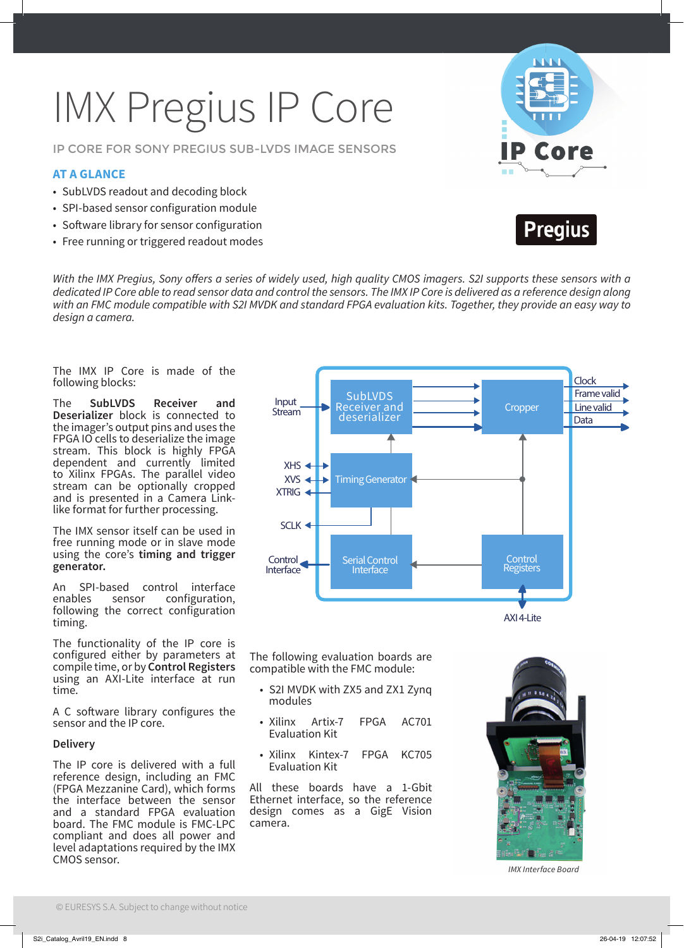# IMX Pregius IP Core

IP CORE FOR SONY PREGIUS SUB-LVDS IMAGE SENSORS

#### **AT A GLANCE**

- SubLVDS readout and decoding block
- SPI-based sensor configuration module
- Software library for sensor configuration
- Free running or triggered readout modes





With the IMX Pregius, Sony offers a series of widely used, high quality CMOS imagers. S2I supports these sensors with a dedicated IP Core able to read sensor data and control the sensors. The IMX IP Core is delivered as a reference design along with an FMC module compatible with S2I MVDK and standard FPGA evaluation kits. Together, they provide an easy way to design a camera.

The IMX IP Core is made of the following blocks:

The **SubLVDS Receiver and Deserializer** block is connected to the imager's output pins and uses the FPGA IO cells to deserialize the image stream. This block is highly FPGA dependent and currently limited to Xilinx FPGAs. The parallel video stream can be optionally cropped and is presented in a Camera Linklike format for further processing.

The IMX sensor itself can be used in free running mode or in slave mode using the core's **timing and trigger generator.**

An SPI-based control interface<br>enables sensor configuration. configuration. following the correct configuration timing.

The functionality of the IP core is configured either by parameters at compile time, or by **Control Registers**  using an AXI-Lite interface at run time.

A C software library configures the sensor and the IP core.

#### **Delivery**

The IP core is delivered with a full reference design, including an FMC (FPGA Mezzanine Card), which forms the interface between the sensor and a standard FPGA evaluation board. The FMC module is FMC-LPC compliant and does all power and level adaptations required by the IMX CMOS sensor.



The following evaluation boards are compatible with the FMC module:

- S2I MVDK with ZX5 and ZX1 Zynq modules
- Xilinx Artix-7 FPGA AC701 Evaluation Kit
- Xilinx Kintex-7 FPGA KC705 Evaluation Kit

All these boards have a 1-Gbit Ethernet interface, so the reference design comes as a GigE Vision camera.



IMX Interface Board